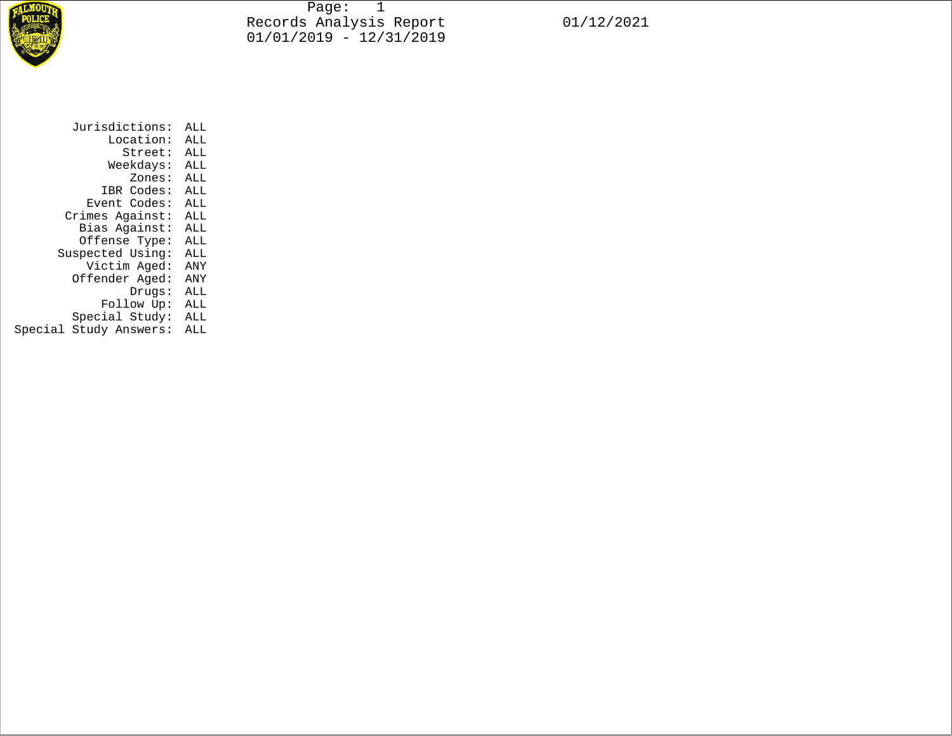

Page: 1 Records Analysis Report 01/12/2021 01/01/2019 - 12/31/2019

| Jurisdictions:         | ALL |  |  |  |
|------------------------|-----|--|--|--|
| Location:              | ALL |  |  |  |
| Street:                | ALL |  |  |  |
| Weekdays:              | ALL |  |  |  |
| Zones:                 | ALL |  |  |  |
| IBR Codes:             | ALL |  |  |  |
| Event Codes:           | ALL |  |  |  |
| Crimes Against:        | ALL |  |  |  |
| Bias Against:          | ALL |  |  |  |
| Offense Type:          | ALL |  |  |  |
| Suspected Using:       | ALL |  |  |  |
| Victim Aged:           | ANY |  |  |  |
| Offender Aged:         | ANY |  |  |  |
| Drugs:                 | ALL |  |  |  |
| Follow Up:             | ALL |  |  |  |
| Special Study:         | ALL |  |  |  |
| Special Study Answers: | ALL |  |  |  |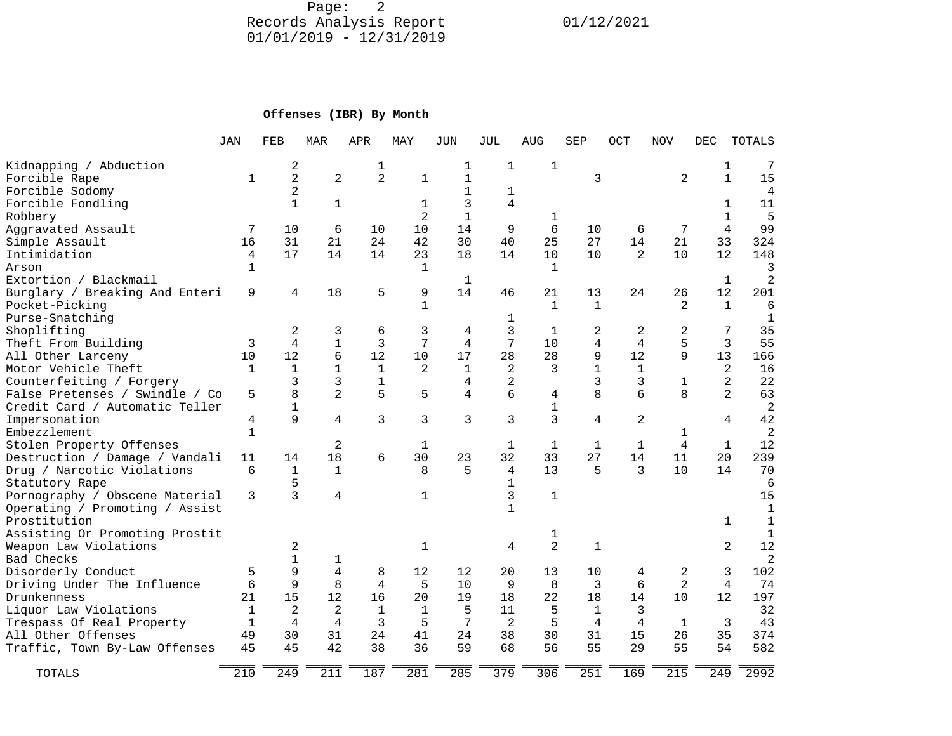Page: 2 Records Analysis Report 01/12/2021 01/01/2019 - 12/31/2019

## **Offenses (IBR) By Month**

|                                | JAN          | FEB            | MAR            | APR            | MAY            | JUN          | JUL          | AUG            | SEP            | OCT            | NOV            | DEC            | TOTALS         |
|--------------------------------|--------------|----------------|----------------|----------------|----------------|--------------|--------------|----------------|----------------|----------------|----------------|----------------|----------------|
| Kidnapping / Abduction         |              | 2              |                | 1              |                | 1            | $\mathbf{1}$ | $\mathbf{1}$   |                |                |                | 1              | 7              |
| Forcible Rape                  | 1            | $\overline{2}$ | $\overline{2}$ | $\overline{a}$ | $\mathbf{1}$   | $\mathbf{1}$ |              |                | 3              |                | 2              | $\mathbf{1}$   | 15             |
| Forcible Sodomy                |              | $\overline{2}$ |                |                |                |              | 1            |                |                |                |                |                | 4              |
| Forcible Fondling              |              | $\mathbf{1}$   | $\mathbf 1$    |                | 1              | 3            | 4            |                |                |                |                | $\mathbf{1}$   | 11             |
| Robbery                        |              |                |                |                | $\overline{2}$ | $\mathbf{1}$ |              | 1              |                |                |                | $\mathbf{1}$   | 5              |
| Aggravated Assault             | 7            | 10             | 6              | 10             | 10             | 14           | 9            | 6              | 10             | 6              | 7              | 4              | 99             |
| Simple Assault                 | 16           | 31             | 21             | 24             | 42             | 30           | 40           | 25             | 27             | 14             | 21             | 33             | 324            |
| Intimidation                   | 4            | 17             | 14             | 14             | 23             | 18           | 14           | 10             | 10             | 2              | 10             | 12             | 148            |
| Arson                          | $\mathbf{1}$ |                |                |                | 1              |              |              | $\mathbf{1}$   |                |                |                |                | 3              |
| Extortion / Blackmail          |              |                |                |                |                | 1            |              |                |                |                |                | $\mathbf{1}$   | $\overline{2}$ |
| Burglary / Breaking And Enteri | 9            | 4              | 18             | 5              | 9              | 14           | 46           | 21             | 13             | 24             | 26             | 12             | 201            |
| Pocket-Picking                 |              |                |                |                | $\mathbf{1}$   |              |              | $\mathbf{1}$   | $\mathbf{1}$   |                | 2              | 1              | 6              |
| Purse-Snatching                |              |                |                |                |                |              | 1            |                |                |                |                |                | $\mathbf{1}$   |
| Shoplifting                    |              | $\overline{2}$ | 3              | 6              | 3              | 4            | 3            | $\mathbf{1}$   | 2              | 2              | 2              | 7              | 35             |
| Theft From Building            | 3            | 4              | $\mathbf{1}$   | 3              | 7              | 4            | 7            | 10             | 4              | 4              | 5              | 3              | 55             |
| All Other Larceny              | 10           | 12             | 6              | 12             | 10             | 17           | 28           | 28             | 9              | 12             | 9              | 13             | 166            |
| Motor Vehicle Theft            | 1            | $\mathbf{1}$   | $1\,$          | $\mathbf{1}$   | 2              | 1            | 2            | 3              | $\mathbf 1$    | 1              |                | 2              | 16             |
| Counterfeiting / Forgery       |              | 3              | 3              | $\mathbf{1}$   |                | 4            | 2            |                | 3              | 3              | 1              | $\overline{2}$ | 22             |
| False Pretenses / Swindle / Co | 5            | 8              | $\overline{2}$ | 5              | 5              | 4            | 6            | 4              | 8              | 6              | 8              | $\overline{2}$ | 63             |
| Credit Card / Automatic Teller |              | $\mathbf{1}$   |                |                |                |              |              | $\mathbf{1}$   |                |                |                |                | $\overline{2}$ |
| Impersonation                  | 4            | 9              | 4              | 3              | 3              | 3            | 3            | 3              | $\overline{4}$ | $\overline{2}$ |                | 4              | 42             |
| Embezzlement                   | $\mathbf{1}$ |                |                |                |                |              |              |                |                |                | 1              |                | $\overline{2}$ |
| Stolen Property Offenses       |              |                | $\overline{2}$ |                | 1              |              | 1            | 1              | $\mathbf{1}$   | 1              | 4              | 1              | 12             |
| Destruction / Damage / Vandali | 11           | 14             | 18             | 6              | 30             | 23           | 32           | 33             | 27             | 14             | 11             | 20             | 239            |
| Drug / Narcotic Violations     | 6            | $\mathbf{1}$   | $\mathbf{1}$   |                | 8              | 5            | 4            | 13             | 5              | 3              | 1 <sub>0</sub> | 14             | 70             |
| Statutory Rape                 |              | 5              |                |                |                |              | 1            |                |                |                |                |                | 6              |
| Pornography / Obscene Material | 3            | 3              | 4              |                | 1              |              | 3            | $\mathbf{1}$   |                |                |                |                | 15             |
| Operating / Promoting / Assist |              |                |                |                |                |              | 1            |                |                |                |                |                | $\mathbf 1$    |
| Prostitution                   |              |                |                |                |                |              |              |                |                |                |                | 1              | $\mathbf{1}$   |
| Assisting Or Promoting Prostit |              |                |                |                |                |              |              | 1              |                |                |                |                | $\mathbf{1}$   |
| Weapon Law Violations          |              | 2              |                |                | $\mathbf{1}$   |              | 4            | $\overline{2}$ | $\mathbf{1}$   |                |                | $\overline{2}$ | 12             |
| Bad Checks                     |              | 1              | 1              |                |                |              |              |                |                |                |                |                | $\mathbf{2}$   |
| Disorderly Conduct             | 5            | 9              | $\overline{4}$ | 8              | 12             | 12           | 20           | 13             | 10             | 4              | 2              | 3              | 102            |
| Driving Under The Influence    | 6            | 9              | 8              | 4              | 5              | 10           | 9            | 8              | 3              | 6              | $\overline{a}$ | 4              | 74             |
| Drunkenness                    | 21           | 15             | 12             | 16             | 20             | 19           | 18           | 22             | 18             | 14             | 10             | 12             | 197            |
| Liquor Law Violations          | $\mathbf{1}$ | 2              | $\overline{2}$ | 1              | $\mathbf{1}$   | 5            | 11           | 5              | $\mathbf{1}$   | 3              |                |                | 32             |
| Trespass Of Real Property      | 1            | 4              | 4              | 3              | 5              | 7            | 2            | 5              | 4              | 4              | 1              | 3              | 43             |
| All Other Offenses             | 49           | 30             | 31             | 24             | 41             | 24           | 38           | 30             | 31             | 15             | 26             | 35             | 374            |
| Traffic, Town By-Law Offenses  | 45           | 45             | 42             | 38             | 36             | 59           | 68           | 56             | 55             | 29             | 55             | 54             | 582            |
| TOTALS                         | 210          | 249            | 211            | 187            | 281            | 285          | 379          | 306            | 251            | 169            | 215            | 2.49           | 2992           |